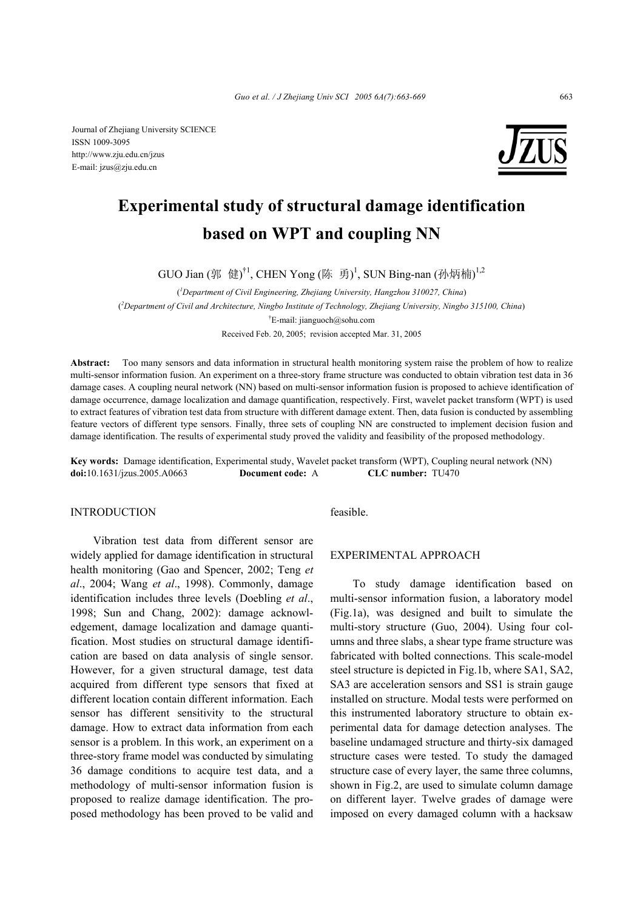Journal of Zhejiang University SCIENCE ISSN 1009-3095 http://www.zju.edu.cn/jzus E-mail: jzus@zju.edu.cn



# **Experimental study of structural damage identification based on WPT and coupling NN**

GUO Jian (郭 健)<sup>†1</sup>, CHEN Yong (陈 勇)<sup>1</sup>, SUN Bing-nan (孙炳楠)<sup>1,2</sup>

( *1 Department of Civil Engineering, Zhejiang University, Hangzhou 310027, China*) ( *2 Department of Civil and Architecture, Ningbo Institute of Technology, Zhejiang University, Ningbo 315100, China*) † E-mail: jianguoch@sohu.com

Received Feb. 20, 2005; revision accepted Mar. 31, 2005

**Abstract:** Too many sensors and data information in structural health monitoring system raise the problem of how to realize multi-sensor information fusion. An experiment on a three-story frame structure was conducted to obtain vibration test data in 36 damage cases. A coupling neural network (NN) based on multi-sensor information fusion is proposed to achieve identification of damage occurrence, damage localization and damage quantification, respectively. First, wavelet packet transform (WPT) is used to extract features of vibration test data from structure with different damage extent. Then, data fusion is conducted by assembling feature vectors of different type sensors. Finally, three sets of coupling NN are constructed to implement decision fusion and damage identification. The results of experimental study proved the validity and feasibility of the proposed methodology.

**Key words:** Damage identification, Experimental study, Wavelet packet transform (WPT), Coupling neural network (NN) **doi:**10.1631/jzus.2005.A0663 **Document code:** A **CLC number:** TU470

#### INTRODUCTION

Vibration test data from different sensor are widely applied for damage identification in structural health monitoring (Gao and Spencer, 2002; Teng *et al*., 2004; Wang *et al*., 1998). Commonly, damage identification includes three levels (Doebling *et al*., 1998; Sun and Chang, 2002): damage acknowledgement, damage localization and damage quantification. Most studies on structural damage identification are based on data analysis of single sensor. However, for a given structural damage, test data acquired from different type sensors that fixed at different location contain different information. Each sensor has different sensitivity to the structural damage. How to extract data information from each sensor is a problem. In this work, an experiment on a three-story frame model was conducted by simulating 36 damage conditions to acquire test data, and a methodology of multi-sensor information fusion is proposed to realize damage identification. The proposed methodology has been proved to be valid and feasible.

### EXPERIMENTAL APPROACH

To study damage identification based on multi-sensor information fusion, a laboratory model (Fig.1a), was designed and built to simulate the multi-story structure (Guo, 2004). Using four columns and three slabs, a shear type frame structure was fabricated with bolted connections. This scale-model steel structure is depicted in Fig.1b, where SA1, SA2, SA3 are acceleration sensors and SS1 is strain gauge installed on structure. Modal tests were performed on this instrumented laboratory structure to obtain experimental data for damage detection analyses. The baseline undamaged structure and thirty-six damaged structure cases were tested. To study the damaged structure case of every layer, the same three columns, shown in Fig.2, are used to simulate column damage on different layer. Twelve grades of damage were imposed on every damaged column with a hacksaw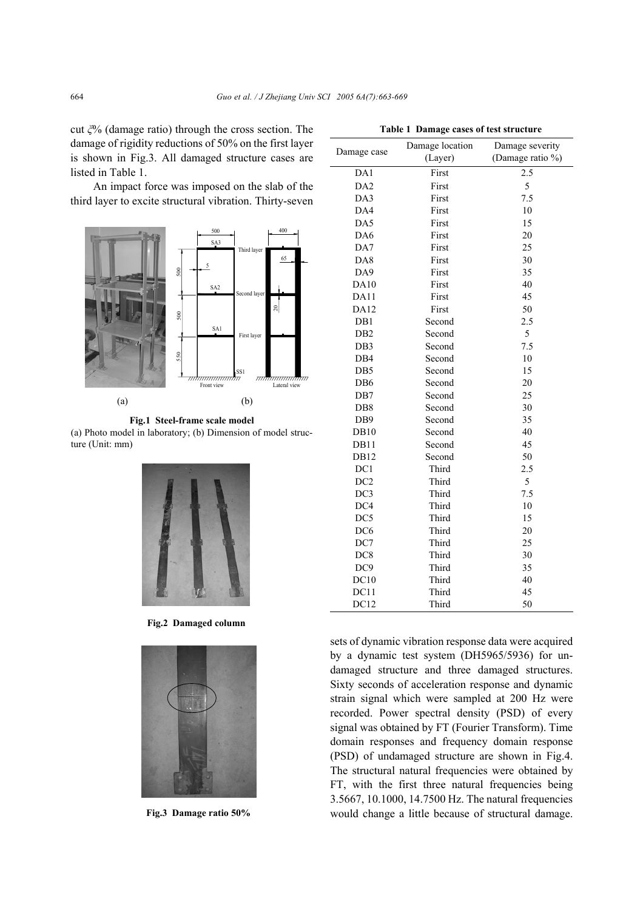cut *ξ*% (damage ratio) through the cross section. The damage of rigidity reductions of 50% on the first layer is shown in Fig.3. All damaged structure cases are listed in Table 1.

An impact force was imposed on the slab of the third layer to excite structural vibration. Thirty-seven



**Fig.1 Steel-frame scale model**  (a) Photo model in laboratory; (b) Dimension of model structure (Unit: mm)



**Fig.2 Damaged column**



**Fig.3 Damage ratio 50%**

|                 | Damage location | Damage severity  |  |  |
|-----------------|-----------------|------------------|--|--|
| Damage case     | (Layer)         | (Damage ratio %) |  |  |
| DA1             | First           | 2.5              |  |  |
| DA <sub>2</sub> | First           | 5                |  |  |
| DA3             | First           | 7.5              |  |  |
| DA4             | First           | 10               |  |  |
| DA5             | First           | 15               |  |  |
| DA6             | First           | 20               |  |  |
| DA7             | First           | 25               |  |  |
| DA8             | First           | 30               |  |  |
| DA9             | First           | 35               |  |  |
| DA10            | First           | 40               |  |  |
| DA11            | First           | 45               |  |  |
| <b>DA12</b>     | First           | 50               |  |  |
| DB1             | Second          | 2.5              |  |  |
| DB <sub>2</sub> | Second          | 5                |  |  |
| DB <sub>3</sub> | Second          | 7.5              |  |  |
| DB4             | Second          | 10               |  |  |
| DB5             | Second          | 15               |  |  |
| DB6             | Second          | 20               |  |  |
| DB7             | Second          | 25               |  |  |
| DB <sub>8</sub> | Second          | 30               |  |  |
| DB9             | Second          | 35               |  |  |
| <b>DB10</b>     | Second          | 40               |  |  |
| DB11            | Second          | 45               |  |  |
| DB12            | Second          | 50               |  |  |
| DC1             | Third           | 2.5              |  |  |
| DC <sub>2</sub> | Third           | 5                |  |  |
| DC3             | Third           | 7.5              |  |  |
| DC4             | Third           | 10               |  |  |
| DC5             | Third           | 15               |  |  |
| DC <sub>6</sub> | Third           | 20               |  |  |
| DC7             | Third           | 25               |  |  |
| DC <sub>8</sub> | Third           | 30               |  |  |
| DC9             | Third           | 35               |  |  |
| DC10            | Third           | 40               |  |  |
| DC11            | Third           | 45               |  |  |
| DC12            | Third           | 50               |  |  |

sets of dynamic vibration response data were acquired by a dynamic test system (DH5965/5936) for undamaged structure and three damaged structures. Sixty seconds of acceleration response and dynamic strain signal which were sampled at 200 Hz were recorded. Power spectral density (PSD) of every signal was obtained by FT (Fourier Transform). Time domain responses and frequency domain response (PSD) of undamaged structure are shown in Fig.4. The structural natural frequencies were obtained by FT, with the first three natural frequencies being 3.5667, 10.1000, 14.7500 Hz. The natural frequencies would change a little because of structural damage.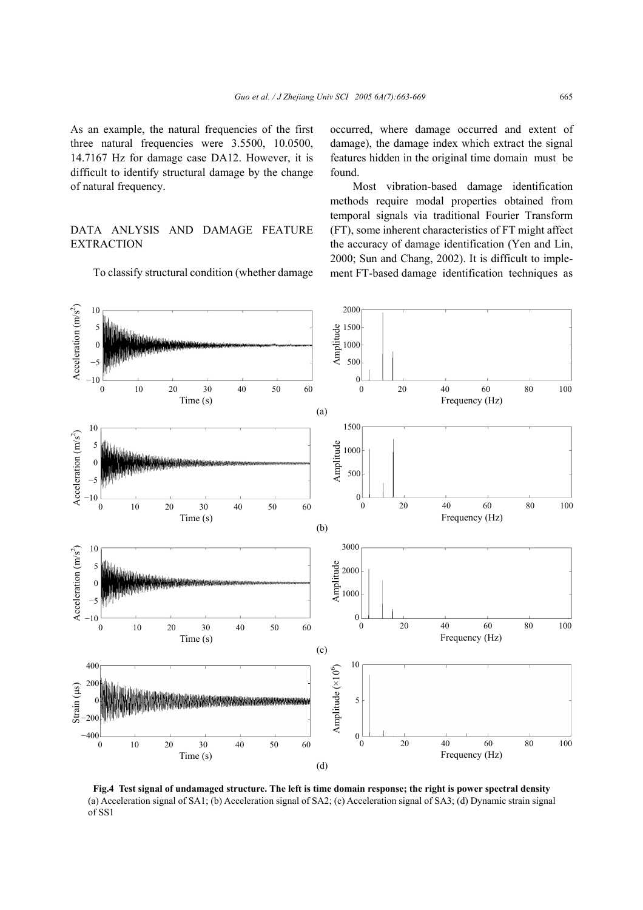As an example, the natural frequencies of the first three natural frequencies were 3.5500, 10.0500, 14.7167 Hz for damage case DA12. However, it is difficult to identify structural damage by the change of natural frequency.

# DATA ANLYSIS AND DAMAGE FEATURE **EXTRACTION**

To classify structural condition (whether damage

occurred, where damage occurred and extent of damage), the damage index which extract the signal features hidden in the original time domain must be found.

Most vibration-based damage identification methods require modal properties obtained from temporal signals via traditional Fourier Transform (FT), some inherent characteristics of FT might affect the accuracy of damage identification (Yen and Lin, 2000; Sun and Chang, 2002). It is difficult to implement FT-based damage identification techniques as



**Fig.4 Test signal of undamaged structure. The left is time domain response; the right is power spectral density** (a) Acceleration signal of SA1; (b) Acceleration signal of SA2; (c) Acceleration signal of SA3; (d) Dynamic strain signal of SS1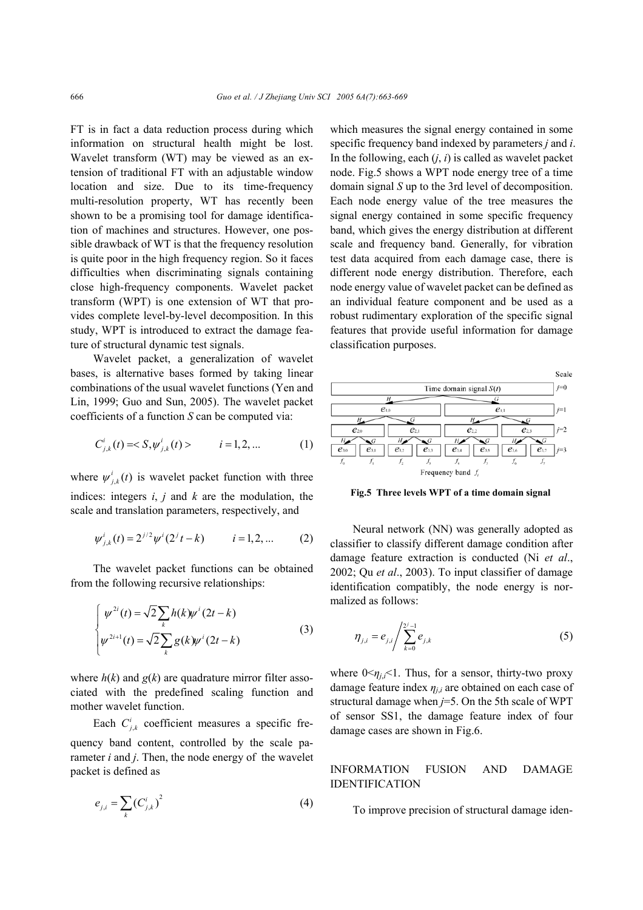FT is in fact a data reduction process during which information on structural health might be lost. Wavelet transform (WT) may be viewed as an extension of traditional FT with an adjustable window location and size. Due to its time-frequency multi-resolution property, WT has recently been shown to be a promising tool for damage identification of machines and structures. However, one possible drawback of WT is that the frequency resolution is quite poor in the high frequency region. So it faces difficulties when discriminating signals containing close high-frequency components. Wavelet packet transform (WPT) is one extension of WT that provides complete level-by-level decomposition. In this study, WPT is introduced to extract the damage feature of structural dynamic test signals.

Wavelet packet, a generalization of wavelet bases, is alternative bases formed by taking linear combinations of the usual wavelet functions (Yen and Lin, 1999; Guo and Sun, 2005). The wavelet packet coefficients of a function *S* can be computed via:

$$
C_{j,k}^{i}(t) = S, \psi_{j,k}^{i}(t) > \qquad i = 1, 2, ... \tag{1}
$$

where  $\psi^i_{j,k}(t)$  is wavelet packet function with three indices: integers *i*, *j* and *k* are the modulation, the scale and translation parameters, respectively, and

$$
\psi_{j,k}^{i}(t) = 2^{j/2} \psi^{i}(2^{j} t - k) \qquad i = 1, 2, ... \qquad (2)
$$

The wavelet packet functions can be obtained from the following recursive relationships:

$$
\begin{cases}\n\psi^{2i}(t) = \sqrt{2} \sum_{k} h(k) \psi^{i}(2t - k) \\
\psi^{2i+1}(t) = \sqrt{2} \sum_{k} g(k) \psi^{i}(2t - k)\n\end{cases}
$$
\n(3)

where  $h(k)$  and  $g(k)$  are quadrature mirror filter associated with the predefined scaling function and mother wavelet function.

Each  $C_{j,k}^{i}$  coefficient measures a specific frequency band content, controlled by the scale parameter *i* and *j*. Then, the node energy of the wavelet packet is defined as

$$
e_{j,i} = \sum_{k} (C_{j,k}^{i})^{2}
$$
 (4)

which measures the signal energy contained in some specific frequency band indexed by parameters *j* and *i*. In the following, each  $(i, i)$  is called as wavelet packet node. Fig.5 shows a WPT node energy tree of a time domain signal *S* up to the 3rd level of decomposition. Each node energy value of the tree measures the signal energy contained in some specific frequency band, which gives the energy distribution at different scale and frequency band. Generally, for vibration test data acquired from each damage case, there is different node energy distribution. Therefore, each node energy value of wavelet packet can be defined as an individual feature component and be used as a robust rudimentary exploration of the specific signal features that provide useful information for damage classification purposes.



**Fig.5 Three levels WPT of a time domain signal**

Neural network (NN) was generally adopted as classifier to classify different damage condition after damage feature extraction is conducted (Ni *et al*., 2002; Qu *et al*., 2003). To input classifier of damage identification compatibly, the node energy is normalized as follows:

$$
\eta_{j,i} = e_{j,i} / \sum_{k=0}^{2^j - 1} e_{j,k}
$$
 (5)

where  $0 \le \eta_{i,i} \le 1$ . Thus, for a sensor, thirty-two proxy damage feature index  $\eta_{i,i}$  are obtained on each case of structural damage when *j*=5. On the 5th scale of WPT of sensor SS1, the damage feature index of four damage cases are shown in Fig.6.

INFORMATION FUSION AND DAMAGE IDENTIFICATION

To improve precision of structural damage iden-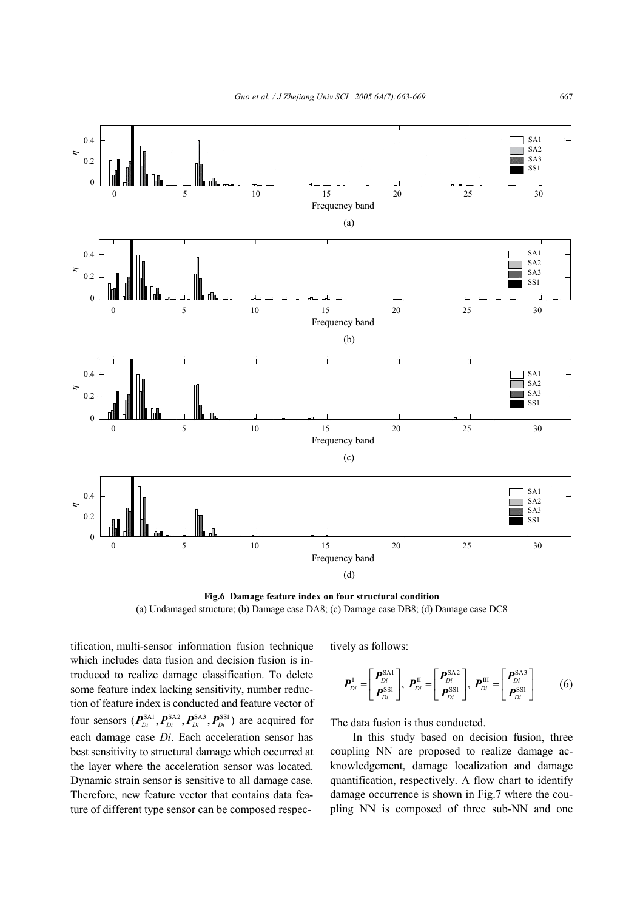

**Fig.6 Damage feature index on four structural condition** (a) Undamaged structure; (b) Damage case DA8; (c) Damage case DB8; (d) Damage case DC8

tification, multi-sensor information fusion technique which includes data fusion and decision fusion is introduced to realize damage classification. To delete some feature index lacking sensitivity, number reduction of feature index is conducted and feature vector of four sensors  $(P_{Di}^{SA1}, P_{Di}^{SA2}, P_{Di}^{SA3}, P_{Di}^{SSI})$  are acquired for each damage case *Di*. Each acceleration sensor has best sensitivity to structural damage which occurred at the layer where the acceleration sensor was located. Dynamic strain sensor is sensitive to all damage case. Therefore, new feature vector that contains data feature of different type sensor can be composed respectively as follows:

$$
\boldsymbol{P}_{Di}^{\mathrm{I}}=\begin{bmatrix}\boldsymbol{P}_{Di}^{\mathrm{SA1}} \\ \boldsymbol{P}_{Di}^{\mathrm{SSI}}\end{bmatrix},\ \boldsymbol{P}_{Di}^{\mathrm{II}}=\begin{bmatrix}\boldsymbol{P}_{Di}^{\mathrm{SA2}} \\ \boldsymbol{P}_{Di}^{\mathrm{SSI}}\end{bmatrix},\ \boldsymbol{P}_{Di}^{\mathrm{III}}=\begin{bmatrix}\boldsymbol{P}_{Di}^{\mathrm{SA3}} \\ \boldsymbol{P}_{Di}^{\mathrm{SSI}}\end{bmatrix}
$$
(6)

The data fusion is thus conducted.

In this study based on decision fusion, three coupling NN are proposed to realize damage acknowledgement, damage localization and damage quantification, respectively. A flow chart to identify damage occurrence is shown in Fig.7 where the coupling NN is composed of three sub-NN and one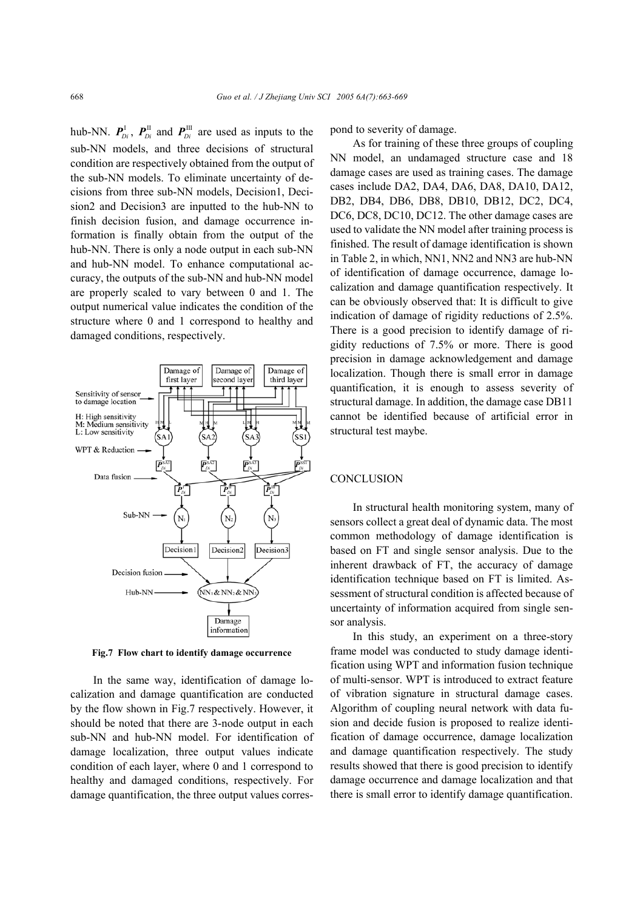hub-NN.  $P_{Di}^I$ ,  $P_{Di}^{\text{II}}$  and  $P_{Di}^{\text{III}}$  are used as inputs to the sub-NN models, and three decisions of structural condition are respectively obtained from the output of the sub-NN models. To eliminate uncertainty of decisions from three sub-NN models, Decision1, Decision2 and Decision3 are inputted to the hub-NN to finish decision fusion, and damage occurrence information is finally obtain from the output of the hub-NN. There is only a node output in each sub-NN and hub-NN model. To enhance computational accuracy, the outputs of the sub-NN and hub-NN model are properly scaled to vary between 0 and 1. The output numerical value indicates the condition of the structure where 0 and 1 correspond to healthy and damaged conditions, respectively.



**Fig.7 Flow chart to identify damage occurrence**

In the same way, identification of damage localization and damage quantification are conducted by the flow shown in Fig.7 respectively. However, it should be noted that there are 3-node output in each sub-NN and hub-NN model. For identification of damage localization, three output values indicate condition of each layer, where 0 and 1 correspond to healthy and damaged conditions, respectively. For damage quantification, the three output values correspond to severity of damage.

As for training of these three groups of coupling NN model, an undamaged structure case and 18 damage cases are used as training cases. The damage cases include DA2, DA4, DA6, DA8, DA10, DA12, DB2, DB4, DB6, DB8, DB10, DB12, DC2, DC4, DC6, DC8, DC10, DC12. The other damage cases are used to validate the NN model after training process is finished. The result of damage identification is shown in Table 2, in which, NN1, NN2 and NN3 are hub-NN of identification of damage occurrence, damage localization and damage quantification respectively. It can be obviously observed that: It is difficult to give indication of damage of rigidity reductions of 2.5%. There is a good precision to identify damage of rigidity reductions of 7.5% or more. There is good precision in damage acknowledgement and damage localization. Though there is small error in damage quantification, it is enough to assess severity of structural damage. In addition, the damage case DB11 cannot be identified because of artificial error in structural test maybe.

# **CONCLUSION**

In structural health monitoring system, many of sensors collect a great deal of dynamic data. The most common methodology of damage identification is based on FT and single sensor analysis. Due to the inherent drawback of FT, the accuracy of damage identification technique based on FT is limited. Assessment of structural condition is affected because of uncertainty of information acquired from single sensor analysis.

In this study, an experiment on a three-story frame model was conducted to study damage identification using WPT and information fusion technique of multi-sensor. WPT is introduced to extract feature of vibration signature in structural damage cases. Algorithm of coupling neural network with data fusion and decide fusion is proposed to realize identification of damage occurrence, damage localization and damage quantification respectively. The study results showed that there is good precision to identify damage occurrence and damage localization and that there is small error to identify damage quantification.